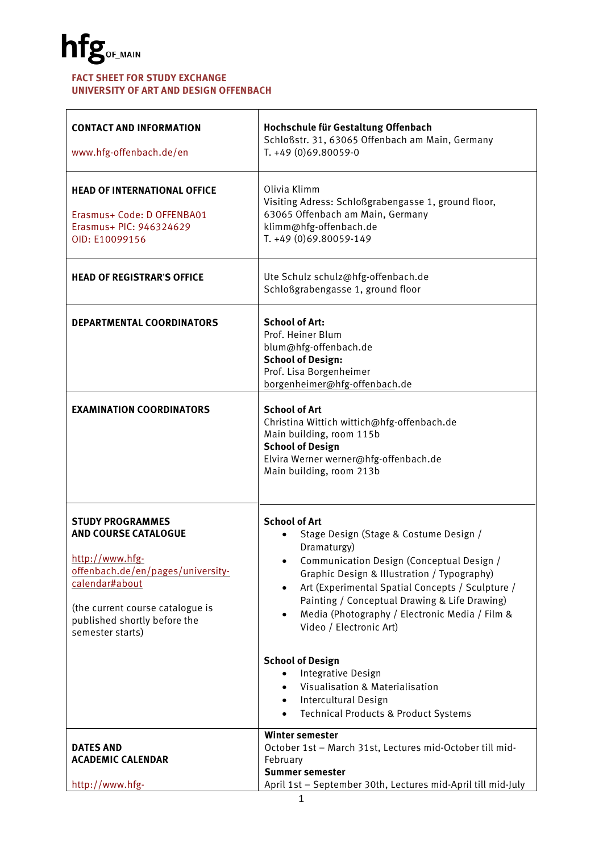#### **FACT SHEET FOR STUDY EXCHANGE UNIVERSITY OF ART AND DESIGN OFFENBACH**

| <b>CONTACT AND INFORMATION</b><br>www.hfg-offenbach.de/en                                                                                                                                                                | Hochschule für Gestaltung Offenbach<br>Schloßstr. 31, 63065 Offenbach am Main, Germany<br>T. +49 (0)69.80059-0                                                                                                                                                                                                                                                                        |
|--------------------------------------------------------------------------------------------------------------------------------------------------------------------------------------------------------------------------|---------------------------------------------------------------------------------------------------------------------------------------------------------------------------------------------------------------------------------------------------------------------------------------------------------------------------------------------------------------------------------------|
| <b>HEAD OF INTERNATIONAL OFFICE</b><br>Erasmus+ Code: D OFFENBA01<br>Erasmus+ PIC: 946324629<br>OID: E10099156                                                                                                           | Olivia Klimm<br>Visiting Adress: Schloßgrabengasse 1, ground floor,<br>63065 Offenbach am Main, Germany<br>klimm@hfg-offenbach.de<br>T. +49 (0)69.80059-149                                                                                                                                                                                                                           |
| <b>HEAD OF REGISTRAR'S OFFICE</b>                                                                                                                                                                                        | Ute Schulz schulz@hfg-offenbach.de<br>Schloßgrabengasse 1, ground floor                                                                                                                                                                                                                                                                                                               |
| <b>DEPARTMENTAL COORDINATORS</b>                                                                                                                                                                                         | <b>School of Art:</b><br>Prof. Heiner Blum<br>blum@hfg-offenbach.de<br><b>School of Design:</b><br>Prof. Lisa Borgenheimer<br>borgenheimer@hfg-offenbach.de                                                                                                                                                                                                                           |
| <b>EXAMINATION COORDINATORS</b>                                                                                                                                                                                          | <b>School of Art</b><br>Christina Wittich wittich@hfg-offenbach.de<br>Main building, room 115b<br><b>School of Design</b><br>Elvira Werner werner@hfg-offenbach.de<br>Main building, room 213b                                                                                                                                                                                        |
| <b>STUDY PROGRAMMES</b><br><b>AND COURSE CATALOGUE</b><br>http://www.hfg-<br>offenbach.de/en/pages/university-<br>calendar#about<br>(the current course catalogue is<br>published shortly before the<br>semester starts) | <b>School of Art</b><br>Stage Design (Stage & Costume Design /<br>Dramaturgy)<br>Communication Design (Conceptual Design /<br>Graphic Design & Illustration / Typography)<br>Art (Experimental Spatial Concepts / Sculpture /<br>$\bullet$<br>Painting / Conceptual Drawing & Life Drawing)<br>Media (Photography / Electronic Media / Film &<br>$\bullet$<br>Video / Electronic Art) |
|                                                                                                                                                                                                                          | <b>School of Design</b><br>Integrative Design<br>$\bullet$<br>Visualisation & Materialisation<br>Intercultural Design<br>$\bullet$<br><b>Technical Products &amp; Product Systems</b><br>$\bullet$                                                                                                                                                                                    |
| <b>DATES AND</b><br><b>ACADEMIC CALENDAR</b><br>http://www.hfg-                                                                                                                                                          | <b>Winter semester</b><br>October 1st - March 31st, Lectures mid-October till mid-<br>February<br><b>Summer semester</b><br>April 1st - September 30th, Lectures mid-April till mid-July                                                                                                                                                                                              |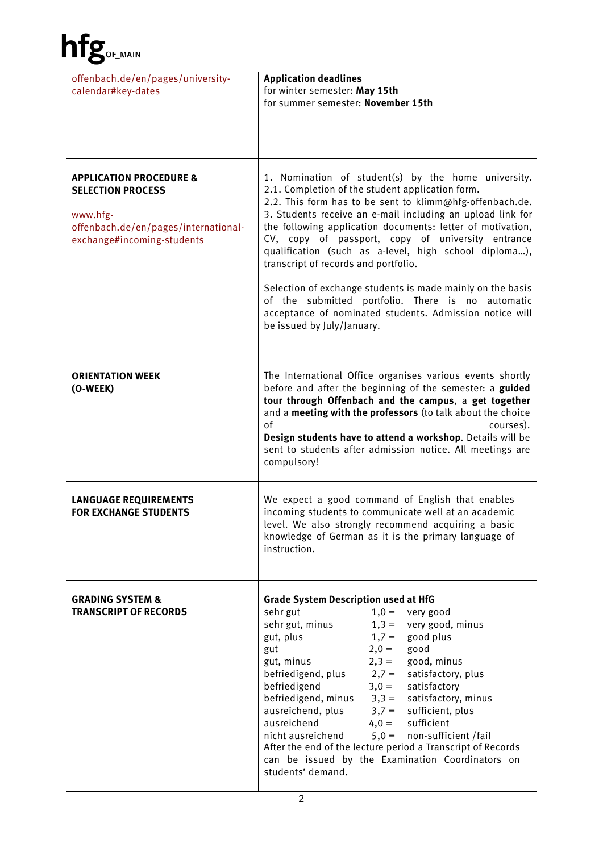| offenbach.de/en/pages/university-<br>calendar#key-dates                                                                                          | <b>Application deadlines</b><br>for winter semester: May 15th<br>for summer semester: November 15th                                                                                                                                                                                                                                                                                                                                                                                                                                                                                                                                                                   |
|--------------------------------------------------------------------------------------------------------------------------------------------------|-----------------------------------------------------------------------------------------------------------------------------------------------------------------------------------------------------------------------------------------------------------------------------------------------------------------------------------------------------------------------------------------------------------------------------------------------------------------------------------------------------------------------------------------------------------------------------------------------------------------------------------------------------------------------|
| <b>APPLICATION PROCEDURE &amp;</b><br><b>SELECTION PROCESS</b><br>www.hfg-<br>offenbach.de/en/pages/international-<br>exchange#incoming-students | 1. Nomination of student(s) by the home university.<br>2.1. Completion of the student application form.<br>2.2. This form has to be sent to klimm@hfg-offenbach.de.<br>3. Students receive an e-mail including an upload link for<br>the following application documents: letter of motivation,<br>CV, copy of passport, copy of university entrance<br>qualification (such as a-level, high school diploma),<br>transcript of records and portfolio.<br>Selection of exchange students is made mainly on the basis<br>of the submitted portfolio. There is no automatic<br>acceptance of nominated students. Admission notice will<br>be issued by July/January.     |
| <b>ORIENTATION WEEK</b><br>(O-WEEK)                                                                                                              | The International Office organises various events shortly<br>before and after the beginning of the semester: a guided<br>tour through Offenbach and the campus, a get together<br>and a meeting with the professors (to talk about the choice<br>of<br>courses).<br>Design students have to attend a workshop. Details will be<br>sent to students after admission notice. All meetings are<br>compulsory!                                                                                                                                                                                                                                                            |
| <b>LANGUAGE REQUIREMENTS</b><br><b>FOR EXCHANGE STUDENTS</b>                                                                                     | We expect a good command of English that enables<br>incoming students to communicate well at an academic<br>level. We also strongly recommend acquiring a basic<br>knowledge of German as it is the primary language of<br>instruction.                                                                                                                                                                                                                                                                                                                                                                                                                               |
| <b>GRADING SYSTEM &amp;</b><br><b>TRANSCRIPT OF RECORDS</b>                                                                                      | <b>Grade System Description used at HfG</b><br>sehr gut<br>$1,0 =$ very good<br>sehr gut, minus<br>$1,3 =$ very good, minus<br>gut, plus<br>$1,7 =$ good plus<br>good<br>$2,0=$<br>gut<br>gut, minus<br>$2,3 =$<br>good, minus<br>befriedigend, plus<br>$2,7 =$<br>satisfactory, plus<br>befriedigend<br>$3,0=$<br>satisfactory<br>befriedigend, minus $3,3 =$ satisfactory, minus<br>ausreichend, plus<br>$3,7 =$ sufficient, plus<br>ausreichend<br>$4,0 =$ sufficient<br>$5,0 =$ non-sufficient /fail<br>nicht ausreichend<br>After the end of the lecture period a Transcript of Records<br>can be issued by the Examination Coordinators on<br>students' demand. |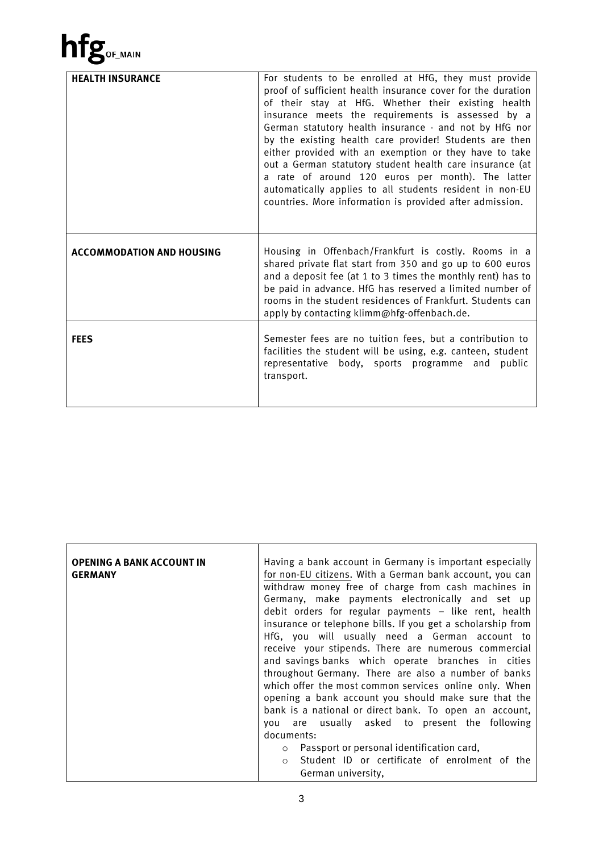| <b>HEALTH INSURANCE</b>          | For students to be enrolled at HfG, they must provide<br>proof of sufficient health insurance cover for the duration<br>of their stay at HfG. Whether their existing health<br>insurance meets the requirements is assessed by a<br>German statutory health insurance - and not by HfG nor<br>by the existing health care provider! Students are then<br>either provided with an exemption or they have to take<br>out a German statutory student health care insurance (at<br>a rate of around 120 euros per month). The latter<br>automatically applies to all students resident in non-EU<br>countries. More information is provided after admission. |
|----------------------------------|----------------------------------------------------------------------------------------------------------------------------------------------------------------------------------------------------------------------------------------------------------------------------------------------------------------------------------------------------------------------------------------------------------------------------------------------------------------------------------------------------------------------------------------------------------------------------------------------------------------------------------------------------------|
| <b>ACCOMMODATION AND HOUSING</b> | Housing in Offenbach/Frankfurt is costly. Rooms in a<br>shared private flat start from 350 and go up to 600 euros<br>and a deposit fee (at 1 to 3 times the monthly rent) has to<br>be paid in advance. HfG has reserved a limited number of<br>rooms in the student residences of Frankfurt. Students can<br>apply by contacting klimm@hfg-offenbach.de.                                                                                                                                                                                                                                                                                                |
| <b>FEES</b>                      | Semester fees are no tuition fees, but a contribution to<br>facilities the student will be using, e.g. canteen, student<br>representative body, sports programme and public<br>transport.                                                                                                                                                                                                                                                                                                                                                                                                                                                                |

| <b>OPENING A BANK ACCOUNT IN</b><br><b>GERMANY</b> | Having a bank account in Germany is important especially<br>for non-EU citizens. With a German bank account, you can<br>withdraw money free of charge from cash machines in<br>Germany, make payments electronically and set up<br>debit orders for regular payments - like rent, health<br>insurance or telephone bills. If you get a scholarship from<br>HfG, you will usually need a German account to<br>receive your stipends. There are numerous commercial<br>and savings banks which operate branches in cities<br>throughout Germany. There are also a number of banks<br>which offer the most common services online only. When<br>opening a bank account you should make sure that the<br>bank is a national or direct bank. To open an account,<br>usually asked to present the following<br>are<br>vou |
|----------------------------------------------------|---------------------------------------------------------------------------------------------------------------------------------------------------------------------------------------------------------------------------------------------------------------------------------------------------------------------------------------------------------------------------------------------------------------------------------------------------------------------------------------------------------------------------------------------------------------------------------------------------------------------------------------------------------------------------------------------------------------------------------------------------------------------------------------------------------------------|
|                                                    | documents:                                                                                                                                                                                                                                                                                                                                                                                                                                                                                                                                                                                                                                                                                                                                                                                                          |
|                                                    | Passport or personal identification card,<br>Student ID or certificate of enrolment of the<br>$\bigcirc$<br>German university.                                                                                                                                                                                                                                                                                                                                                                                                                                                                                                                                                                                                                                                                                      |